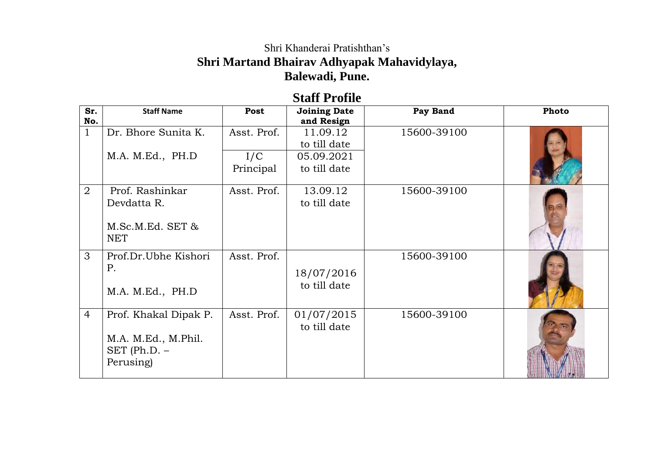## Shri Khanderai Pratishthan's **Shri Martand Bhairav Adhyapak Mahavidylaya, Balewadi, Pune.**

## **Staff Profile**

| Sr.<br>No.     | <b>Staff Name</b>                                                         | Post             | <b>Joining Date</b><br>and Resign | Pay Band    | Photo |
|----------------|---------------------------------------------------------------------------|------------------|-----------------------------------|-------------|-------|
| $\mathbf{1}$   | Dr. Bhore Sunita K.                                                       | Asst. Prof.      | 11.09.12<br>to till date          | 15600-39100 |       |
|                | M.A. M.Ed., PH.D                                                          | I/C<br>Principal | 05.09.2021<br>to till date        |             |       |
| $\overline{2}$ | Prof. Rashinkar<br>Devdatta R.<br>M.Sc.M.Ed. SET &<br><b>NET</b>          | Asst. Prof.      | 13.09.12<br>to till date          | 15600-39100 |       |
| 3              | Prof.Dr.Ubhe Kishori<br>P.<br>M.A. M.Ed., PH.D                            | Asst. Prof.      | 18/07/2016<br>to till date        | 15600-39100 |       |
| $\overline{4}$ | Prof. Khakal Dipak P.<br>M.A. M.Ed., M.Phil.<br>SET (Ph.D. –<br>Perusing) | Asst. Prof.      | 01/07/2015<br>to till date        | 15600-39100 |       |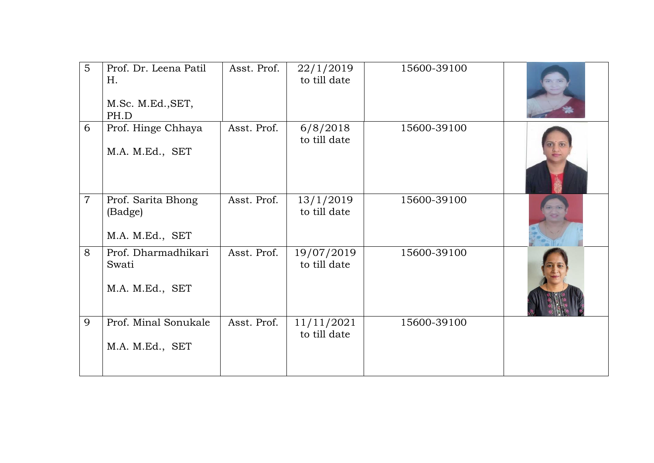| 5              | Prof. Dr. Leena Patil<br>H.<br>M.Sc. M.Ed., SET,<br>PH.D | Asst. Prof. | 22/1/2019<br>to till date  | 15600-39100 |  |
|----------------|----------------------------------------------------------|-------------|----------------------------|-------------|--|
| 6              | Prof. Hinge Chhaya<br>M.A. M.Ed., SET                    | Asst. Prof. | 6/8/2018<br>to till date   | 15600-39100 |  |
| $\overline{7}$ | Prof. Sarita Bhong<br>(Badge)<br>M.A. M.Ed., SET         | Asst. Prof. | 13/1/2019<br>to till date  | 15600-39100 |  |
| 8              | Prof. Dharmadhikari<br>Swati<br>M.A. M.Ed., SET          | Asst. Prof. | 19/07/2019<br>to till date | 15600-39100 |  |
| 9              | Prof. Minal Sonukale<br>M.A. M.Ed., SET                  | Asst. Prof. | 11/11/2021<br>to till date | 15600-39100 |  |